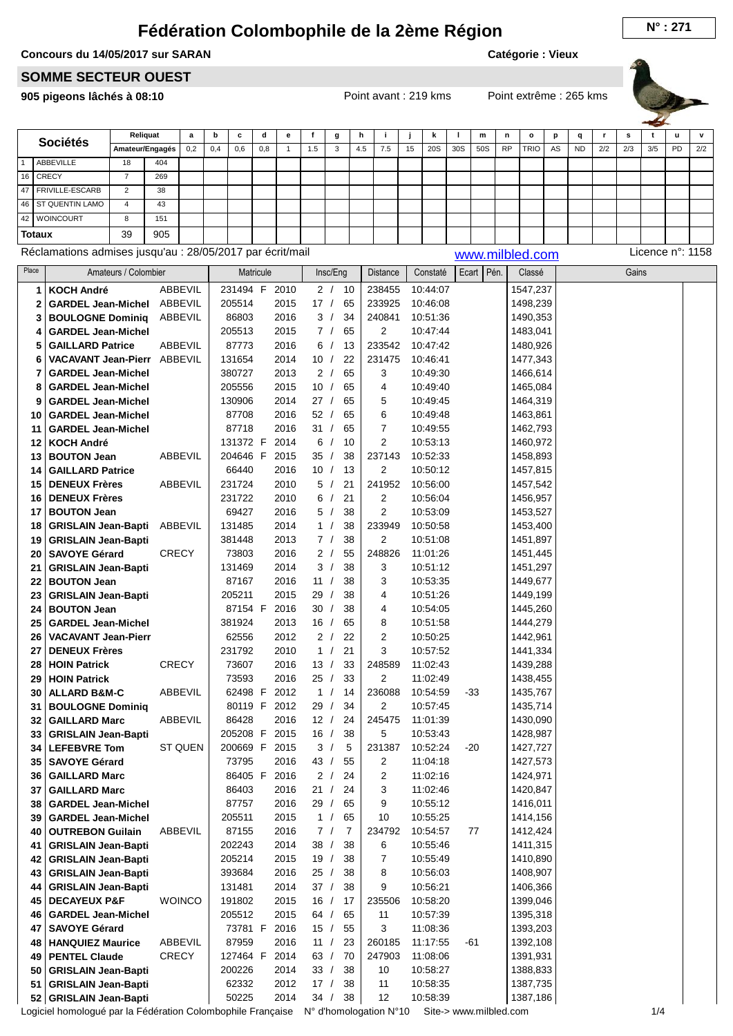## **Fédération Colombophile de la 2ème Région**

## **Concours du 14/05/2017 sur SARAN**

**Catégorie : Vieux**

## **SOMME SECTEUR OUEST**

**905 pigeons lâchés à 08:10** Point avant : 219 kms Point extrême : 265 kms



**q r s t u v**

|           |                      |                 |          |     |     |     |   |     |              |     |     |    |     |     |     |           |             |         |           |     |     |     | _____ |     |           |
|-----------|----------------------|-----------------|----------|-----|-----|-----|---|-----|--------------|-----|-----|----|-----|-----|-----|-----------|-------------|---------|-----------|-----|-----|-----|-------|-----|-----------|
|           | <b>Sociétés</b>      |                 | Reliquat | a   | b   | c   | d | e   |              | g   | h   |    |     | n   |     | m         | n           | $\circ$ | D         | a   |     | s   |       | u   | $\lambda$ |
| ABBEVILLE |                      | Amateur/Engagés | 0,2      | 0,4 | 0,6 | 0,8 |   | 1.5 | $\sim$<br>۰D | 4.5 | 7.5 | 15 | 20S | 30S | 50S | <b>RP</b> | <b>TRIO</b> | AS      | <b>ND</b> | 2/2 | 2/3 | 3/5 | PD    | 2/2 |           |
|           |                      | 18              | 404      |     |     |     |   |     |              |     |     |    |     |     |     |           |             |         |           |     |     |     |       |     |           |
|           | 16   CRECY           |                 | 269      |     |     |     |   |     |              |     |     |    |     |     |     |           |             |         |           |     |     |     |       |     |           |
|           | 47   FRIVILLE-ESCARB | $\sim$          | 38       |     |     |     |   |     |              |     |     |    |     |     |     |           |             |         |           |     |     |     |       |     |           |
|           | 46   ST QUENTIN LAMO | 4               | 43       |     |     |     |   |     |              |     |     |    |     |     |     |           |             |         |           |     |     |     |       |     |           |
|           | 42   WOINCOURT       | 8               | 151      |     |     |     |   |     |              |     |     |    |     |     |     |           |             |         |           |     |     |     |       |     |           |
|           | <b>Totaux</b>        | 39              | 905      |     |     |     |   |     |              |     |     |    |     |     |     |           |             |         |           |     |     |     |       |     |           |

Réclamations admises jusqu'au : 28/05/2017 par écrit/mail [www.milbled.com](http://www.milbled.com) Licence n°: 1158

| Place | Amateurs / Colombier       |                | Matricule        | Insc/Eng   | Distance       | Constaté | Ecart   Pén. | Classé   | Gains |  |
|-------|----------------------------|----------------|------------------|------------|----------------|----------|--------------|----------|-------|--|
| 1     | <b>KOCH André</b>          | ABBEVIL        | 231494 F<br>2010 | 2 / 10     | 238455         | 10:44:07 |              | 1547,237 |       |  |
| 2     | <b>GARDEL Jean-Michel</b>  | ABBEVIL        | 205514<br>2015   | 17/<br>65  | 233925         | 10:46:08 |              | 1498,239 |       |  |
| 3     | <b>BOULOGNE Dominiq</b>    | ABBEVIL        | 86803<br>2016    | 3/<br>34   | 240841         | 10:51:36 |              | 1490,353 |       |  |
| 4     | <b>GARDEL Jean-Michel</b>  |                | 205513<br>2015   | 7/<br>65   | $\overline{2}$ | 10:47:44 |              | 1483,041 |       |  |
| 5     | <b>GAILLARD Patrice</b>    | ABBEVIL        | 87773<br>2016    | 6/<br>13   | 233542         | 10:47:42 |              | 1480,926 |       |  |
| 6     | <b>VACAVANT Jean-Pierr</b> | ABBEVIL        | 131654<br>2014   | 22<br>10/  | 231475         | 10:46:41 |              | 1477,343 |       |  |
| 7     | <b>GARDEL Jean-Michel</b>  |                | 380727<br>2013   | 2/<br>65   | 3              | 10:49:30 |              | 1466,614 |       |  |
| 8     | <b>GARDEL Jean-Michel</b>  |                | 2015<br>205556   | 10/<br>65  | 4              | 10:49:40 |              | 1465,084 |       |  |
| 9     | <b>GARDEL Jean-Michel</b>  |                | 130906<br>2014   | 27/<br>65  | 5              | 10:49:45 |              | 1464,319 |       |  |
| 10    | <b>GARDEL Jean-Michel</b>  |                | 2016<br>87708    | 52/<br>65  | 6              | 10:49:48 |              | 1463,861 |       |  |
| 11    | <b>GARDEL Jean-Michel</b>  |                | 87718<br>2016    | 31 /<br>65 | 7              | 10:49:55 |              | 1462,793 |       |  |
| 12    | <b>KOCH André</b>          |                | 2014<br>131372 F | 6/<br>10   | 2              | 10:53:13 |              | 1460,972 |       |  |
| 13    | <b>BOUTON Jean</b>         | ABBEVIL        | 204646 F<br>2015 | 35 /<br>38 | 237143         | 10:52:33 |              | 1458,893 |       |  |
| 14    | <b>GAILLARD Patrice</b>    |                | 66440<br>2016    | 10/<br>13  | 2              | 10:50:12 |              | 1457,815 |       |  |
| 15    | <b>DENEUX Frères</b>       | ABBEVIL        | 231724<br>2010   | 5 /<br>21  | 241952         | 10:56:00 |              | 1457,542 |       |  |
| 16    | <b>DENEUX Frères</b>       |                | 2010<br>231722   | 6/<br>21   | 2              | 10:56:04 |              | 1456,957 |       |  |
| 17    | <b>BOUTON Jean</b>         |                | 69427<br>2016    | 5/<br>38   | 2              | 10:53:09 |              | 1453,527 |       |  |
| 18    | <b>GRISLAIN Jean-Bapti</b> | ABBEVIL        | 2014<br>131485   | 1/<br>38   | 233949         | 10:50:58 |              | 1453,400 |       |  |
| 19    | <b>GRISLAIN Jean-Bapti</b> |                | 381448<br>2013   | 38<br>7/   | 2              | 10:51:08 |              | 1451,897 |       |  |
| 20    | <b>SAVOYE Gérard</b>       | <b>CRECY</b>   | 73803<br>2016    | 2/<br>55   | 248826         | 11:01:26 |              | 1451,445 |       |  |
| 21    | <b>GRISLAIN Jean-Bapti</b> |                | 2014<br>131469   | 3/<br>38   | 3              | 10:51:12 |              | 1451,297 |       |  |
| 22    | <b>BOUTON Jean</b>         |                | 2016<br>87167    | 38<br>11 / | 3              | 10:53:35 |              | 1449,677 |       |  |
| 23    | <b>GRISLAIN Jean-Bapti</b> |                | 205211<br>2015   | 29/<br>38  | 4              | 10:51:26 |              | 1449,199 |       |  |
| 24    | <b>BOUTON Jean</b>         |                | 87154 F<br>2016  | 30/<br>38  | 4              | 10:54:05 |              | 1445,260 |       |  |
| 25    | <b>GARDEL Jean-Michel</b>  |                | 2013<br>381924   | 16/<br>65  | 8              | 10:51:58 |              | 1444,279 |       |  |
| 26    | <b>VACAVANT Jean-Pierr</b> |                | 2012<br>62556    | 2/<br>22   | 2              | 10:50:25 |              | 1442,961 |       |  |
| 27    | <b>DENEUX Frères</b>       |                | 2010<br>231792   | 1 /<br>21  | 3              | 10:57:52 |              | 1441,334 |       |  |
| 28    | <b>HOIN Patrick</b>        | <b>CRECY</b>   | 73607<br>2016    | 13/<br>33  | 248589         | 11:02:43 |              | 1439,288 |       |  |
| 29    | <b>HOIN Patrick</b>        |                | 73593<br>2016    | 25/<br>33  | $\overline{2}$ | 11:02:49 |              | 1438,455 |       |  |
| 30    | <b>ALLARD B&amp;M-C</b>    | ABBEVIL        | 62498 F<br>2012  | 1 /<br>14  | 236088         | 10:54:59 | -33          | 1435,767 |       |  |
| 31    | <b>BOULOGNE Dominiq</b>    |                | 80119 F<br>2012  | 29 /<br>34 | 2              | 10:57:45 |              | 1435,714 |       |  |
| 32    | <b>GAILLARD Marc</b>       | ABBEVIL        | 86428<br>2016    | 12/<br>24  | 245475         | 11:01:39 |              | 1430,090 |       |  |
| 33    | <b>GRISLAIN Jean-Bapti</b> |                | 205208 F<br>2015 | 16/<br>38  | 5              | 10:53:43 |              | 1428,987 |       |  |
| 34    | <b>LEFEBVRE Tom</b>        | <b>ST QUEN</b> | 200669 F 2015    | 3/<br>5    | 231387         | 10:52:24 | $-20$        | 1427,727 |       |  |
| 35    | <b>SAVOYE Gérard</b>       |                | 73795<br>2016    | 43/<br>55  | 2              | 11:04:18 |              | 1427,573 |       |  |
| 36    | <b>GAILLARD Marc</b>       |                | 86405 F<br>2016  | 2/<br>24   | 2              | 11:02:16 |              | 1424,971 |       |  |
| 37    | <b>GAILLARD Marc</b>       |                | 86403<br>2016    | 21 /<br>24 | 3              | 11:02:46 |              | 1420,847 |       |  |
| 38    | <b>GARDEL Jean-Michel</b>  |                | 87757<br>2016    | 29/<br>65  | 9              | 10:55:12 |              | 1416,011 |       |  |
| 39    | <b>GARDEL Jean-Michel</b>  |                | 205511<br>2015   | 65<br>1 /  | 10             | 10:55:25 |              | 1414,156 |       |  |
| 40    | <b>OUTREBON Guilain</b>    | ABBEVIL        | 87155<br>2016    | 7/<br>7    | 234792         | 10:54:57 | 77           | 1412,424 |       |  |
| 41    | <b>GRISLAIN Jean-Bapti</b> |                | 202243<br>2014   | 38/<br>38  | 6              | 10:55:46 |              | 1411,315 |       |  |
| 42    | <b>GRISLAIN Jean-Bapti</b> |                | 205214<br>2015   | 19/<br>38  | 7              | 10:55:49 |              | 1410,890 |       |  |
| 43    | <b>GRISLAIN Jean-Bapti</b> |                | 393684<br>2016   | 25/<br>38  | 8              | 10:56:03 |              | 1408,907 |       |  |
| 44    | <b>GRISLAIN Jean-Bapti</b> |                | 131481<br>2014   | 37/<br>38  | 9              | 10:56:21 |              | 1406,366 |       |  |
| 45    | <b>DECAYEUX P&amp;F</b>    | <b>WOINCO</b>  | 191802<br>2015   | 16/<br>17  | 235506         | 10:58:20 |              | 1399,046 |       |  |
| 46    | <b>GARDEL Jean-Michel</b>  |                | 205512<br>2015   | 64/<br>65  | 11             | 10:57:39 |              | 1395,318 |       |  |
| 47    | <b>SAVOYE Gérard</b>       |                | 73781 F<br>2016  | 15/<br>55  | 3              | 11:08:36 |              | 1393,203 |       |  |
| 48    | <b>HANQUIEZ Maurice</b>    | ABBEVIL        | 87959<br>2016    | 11 /<br>23 | 260185         | 11:17:55 | $-61$        | 1392,108 |       |  |
| 49    | <b>PENTEL Claude</b>       | CRECY          | 127464 F<br>2014 | 63/<br>70  | 247903         | 11:08:06 |              | 1391,931 |       |  |
| 50    | <b>GRISLAIN Jean-Bapti</b> |                | 200226<br>2014   | 33/<br>38  | 10             | 10:58:27 |              | 1388,833 |       |  |
| 51    | <b>GRISLAIN Jean-Bapti</b> |                | 62332<br>2012    | 17/<br>38  | 11             | 10:58:35 |              | 1387,735 |       |  |
|       | 52 GRISLAIN Jean-Bapti     |                | 50225<br>2014    | 34 / 38    | 12             | 10:58:39 |              | 1387,186 |       |  |
|       |                            |                |                  |            |                |          |              |          |       |  |

Logiciel homologué par la Fédération Colombophile Française N° d'homologation N°10 Site-> www.milbled.com 1/4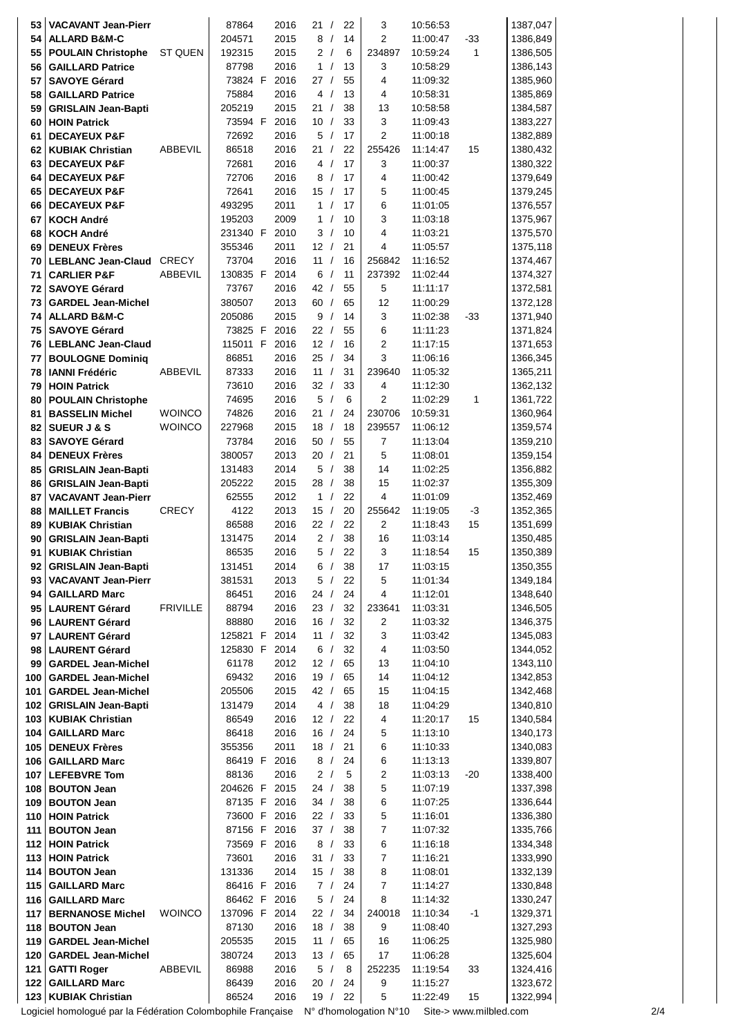| 53  | <b>VACAVANT Jean-Pierr</b>      |                 | 87864    | 2016          | 21/  |     | 22 | 3              | 10:56:53 |      | 1387,047 |
|-----|---------------------------------|-----------------|----------|---------------|------|-----|----|----------------|----------|------|----------|
| 54  | <b>ALLARD B&amp;M-C</b>         |                 | 204571   | 2015          |      | 8/  | 14 | $\overline{2}$ | 11:00:47 | -33  | 1386,849 |
| 55  | <b>POULAIN Christophe</b>       | ST QUEN         | 192315   | 2015          |      | 2/  | 6  | 234897         | 10:59:24 | 1    | 1386,505 |
| 56  | <b>GAILLARD Patrice</b>         |                 | 87798    | 2016          |      | 1 / | 13 | 3              | 10:58:29 |      | 1386,143 |
| 57  | <b>SAVOYE Gérard</b>            |                 | 73824 F  | 2016          | 27/  |     | 55 | 4              | 11:09:32 |      | 1385,960 |
|     |                                 |                 | 75884    | 2016          |      | 4/  | 13 | 4              |          |      |          |
| 58  | <b>GAILLARD Patrice</b>         |                 |          |               |      |     |    |                | 10:58:31 |      | 1385,869 |
| 59  | <b>GRISLAIN Jean-Bapti</b>      |                 | 205219   | 2015          | 21/  |     | 38 | 13             | 10:58:58 |      | 1384,587 |
| 60  | <b>HOIN Patrick</b>             |                 | 73594 F  | 2016          | 10/  |     | 33 | 3              | 11:09:43 |      | 1383,227 |
| 61  | <b>DECAYEUX P&amp;F</b>         |                 | 72692    | 2016          |      | 5/  | 17 | $\overline{2}$ | 11:00:18 |      | 1382,889 |
| 62  | <b>KUBIAK Christian</b>         | ABBEVIL         | 86518    | 2016          | 21/  |     | 22 | 255426         | 11:14:47 | 15   | 1380,432 |
| 63  | <b>DECAYEUX P&amp;F</b>         |                 | 72681    | 2016          |      | 4/  | 17 | 3              | 11:00:37 |      | 1380,322 |
| 64  | <b>DECAYEUX P&amp;F</b>         |                 | 72706    | 2016          |      | 8/  | 17 | 4              | 11:00:42 |      | 1379,649 |
| 65  | <b>DECAYEUX P&amp;F</b>         |                 | 72641    | 2016          | 15/  |     | 17 | 5              | 11:00:45 |      | 1379,245 |
| 66  | <b>DECAYEUX P&amp;F</b>         |                 | 493295   | 2011          |      | 1/  | 17 | 6              | 11:01:05 |      | 1376,557 |
| 67  | <b>KOCH André</b>               |                 | 195203   | 2009          |      | 1/  | 10 | 3              | 11:03:18 |      | 1375,967 |
| 68  | <b>KOCH André</b>               |                 | 231340 F | 2010          |      | 3/  | 10 | 4              | 11:03:21 |      | 1375,570 |
| 69  | <b>DENEUX Frères</b>            |                 | 355346   | 2011          | 12/  |     | 21 | 4              | 11:05:57 |      | 1375,118 |
|     |                                 |                 |          |               |      |     |    |                |          |      |          |
| 70  | <b>LEBLANC Jean-Claud CRECY</b> |                 | 73704    | 2016          | 11 / |     | 16 | 256842         | 11:16:52 |      | 1374,467 |
| 71  | <b>CARLIER P&amp;F</b>          | ABBEVIL         | 130835 F | 2014          |      | 6/  | 11 | 237392         | 11:02:44 |      | 1374,327 |
| 72  | <b>SAVOYE Gérard</b>            |                 | 73767    | 2016          | 42 / |     | 55 | 5              | 11:11:17 |      | 1372,581 |
| 73  | <b>GARDEL Jean-Michel</b>       |                 | 380507   | 2013          | 60/  |     | 65 | 12             | 11:00:29 |      | 1372,128 |
| 74  | <b>ALLARD B&amp;M-C</b>         |                 | 205086   | 2015          |      | 9/  | 14 | 3              | 11:02:38 | -33  | 1371,940 |
| 75  | <b>SAVOYE Gérard</b>            |                 |          | 73825 F 2016  | 22/  |     | 55 | 6              | 11:11:23 |      | 1371,824 |
|     | 76   LEBLANC Jean-Claud         |                 | 115011 F | 2016          | 12/  |     | 16 | $\overline{2}$ | 11:17:15 |      | 1371,653 |
| 77  | <b>BOULOGNE Dominiq</b>         |                 | 86851    | 2016          | 25/  |     | 34 | 3              | 11:06:16 |      | 1366,345 |
| 78  | <b>IANNI Frédéric</b>           | ABBEVIL         | 87333    | 2016          | 11 / |     | 31 | 239640         | 11:05:32 |      | 1365,211 |
| 79  | <b>HOIN Patrick</b>             |                 | 73610    | 2016          | 32/  |     | 33 | 4              | 11:12:30 |      | 1362,132 |
| 80  | <b>POULAIN Christophe</b>       |                 | 74695    | 2016          |      | 5/  | 6  | 2              | 11:02:29 | 1    | 1361,722 |
|     |                                 |                 |          |               |      |     |    |                |          |      |          |
| 81  | <b>BASSELIN Michel</b>          | <b>WOINCO</b>   | 74826    | 2016          | 21/  |     | 24 | 230706         | 10:59:31 |      | 1360,964 |
| 82  | <b>SUEUR J &amp; S</b>          | <b>WOINCO</b>   | 227968   | 2015          | 18/  |     | 18 | 239557         | 11:06:12 |      | 1359,574 |
| 83  | <b>SAVOYE Gérard</b>            |                 | 73784    | 2016          | 50/  |     | 55 | $\overline{7}$ | 11:13:04 |      | 1359,210 |
| 84  | <b>DENEUX Frères</b>            |                 | 380057   | 2013          | 20/  |     | 21 | 5              | 11:08:01 |      | 1359,154 |
| 85  | <b>GRISLAIN Jean-Bapti</b>      |                 | 131483   | 2014          |      | 5/  | 38 | 14             | 11:02:25 |      | 1356,882 |
| 86  | <b>GRISLAIN Jean-Bapti</b>      |                 | 205222   | 2015          | 28/  |     | 38 | 15             | 11:02:37 |      | 1355,309 |
| 87  | <b>VACAVANT Jean-Pierr</b>      |                 | 62555    | 2012          |      | 1 / | 22 | 4              | 11:01:09 |      | 1352,469 |
| 88  | <b>MAILLET Francis</b>          | <b>CRECY</b>    | 4122     | 2013          | 15/  |     | 20 | 255642         | 11:19:05 | -3   | 1352,365 |
| 89  | <b>KUBIAK Christian</b>         |                 | 86588    | 2016          | 22/  |     | 22 | 2              | 11:18:43 | 15   | 1351,699 |
| 90  | <b>GRISLAIN Jean-Bapti</b>      |                 | 131475   | 2014          |      | 2/  | 38 | 16             | 11:03:14 |      | 1350,485 |
|     |                                 |                 |          | 2016          |      | 5/  | 22 | 3              |          |      | 1350,389 |
| 91  | <b>KUBIAK Christian</b>         |                 | 86535    |               |      |     |    |                | 11:18:54 | 15   |          |
| 92  | <b>GRISLAIN Jean-Bapti</b>      |                 | 131451   | 2014          |      | 6/  | 38 | 17             | 11:03:15 |      | 1350,355 |
| 93  | <b>VACAVANT Jean-Pierr</b>      |                 | 381531   | 2013          |      | 5/  | 22 | 5              | 11:01:34 |      | 1349,184 |
| 94  | <b>GAILLARD Marc</b>            |                 | 86451    | 2016          | 24/  |     | 24 | 4              | 11:12:01 |      | 1348,640 |
| 95  | <b>LAURENT Gérard</b>           | <b>FRIVILLE</b> | 88794    | 2016          | 23/  |     | 32 | 233641         | 11:03:31 |      | 1346,505 |
| 96  | <b>LAURENT Gérard</b>           |                 | 88880    | 2016          | 16/  |     | 32 | 2              | 11:03:32 |      | 1346,375 |
| 97  | <b>LAURENT Gérard</b>           |                 |          | 125821 F 2014 | 11 / |     | 32 | 3              | 11:03:42 |      | 1345,083 |
| 98  | <b>LAURENT Gérard</b>           |                 |          | 125830 F 2014 |      | 6/  | 32 | 4              | 11:03:50 |      | 1344,052 |
| 99  | <b>GARDEL Jean-Michel</b>       |                 | 61178    | 2012          | 12/  |     | 65 | 13             | 11:04:10 |      | 1343,110 |
| 100 | <b>GARDEL Jean-Michel</b>       |                 | 69432    | 2016          | 19/  |     | 65 | 14             | 11:04:12 |      | 1342,853 |
| 101 | <b>GARDEL Jean-Michel</b>       |                 | 205506   | 2015          | 42/  |     | 65 | 15             | 11:04:15 |      | 1342,468 |
| 102 | <b>GRISLAIN Jean-Bapti</b>      |                 | 131479   | 2014          |      | 4/  | 38 | 18             | 11:04:29 |      | 1340,810 |
| 103 | <b>KUBIAK Christian</b>         |                 | 86549    | 2016          | 12 / |     | 22 | 4              | 11:20:17 | 15   | 1340,584 |
|     |                                 |                 |          |               |      |     |    |                |          |      |          |
| 104 | <b>GAILLARD Marc</b>            |                 | 86418    | 2016          | 16/  |     | 24 | 5              | 11:13:10 |      | 1340,173 |
| 105 | <b>DENEUX Frères</b>            |                 | 355356   | 2011          | 18/  |     | 21 | 6              | 11:10:33 |      | 1340,083 |
| 106 | <b>GAILLARD Marc</b>            |                 | 86419 F  | 2016          |      | 8/  | 24 | 6              | 11:13:13 |      | 1339,807 |
| 107 | <b>LEFEBVRE Tom</b>             |                 | 88136    | 2016          |      | 2/  | 5  | 2              | 11:03:13 | -20  | 1338,400 |
| 108 | <b>BOUTON Jean</b>              |                 |          | 204626 F 2015 | 24/  |     | 38 | 5              | 11:07:19 |      | 1337,398 |
| 109 | <b>BOUTON Jean</b>              |                 |          | 87135 F 2016  | 34/  |     | 38 | 6              | 11:07:25 |      | 1336,644 |
| 110 | <b>HOIN Patrick</b>             |                 |          | 73600 F 2016  | 22/  |     | 33 | 5              | 11:16:01 |      | 1336,380 |
| 111 | <b>BOUTON Jean</b>              |                 |          | 87156 F 2016  | 37/  |     | 38 | $\overline{7}$ | 11:07:32 |      | 1335,766 |
| 112 | <b>HOIN Patrick</b>             |                 |          | 73569 F 2016  |      | 8/  | 33 | 6              | 11:16:18 |      | 1334,348 |
| 113 | <b>HOIN Patrick</b>             |                 | 73601    | 2016          | 31 / |     | 33 | 7              | 11:16:21 |      | 1333,990 |
| 114 | <b>BOUTON Jean</b>              |                 | 131336   | 2014          | 15/  |     | 38 | 8              | 11:08:01 |      | 1332,139 |
| 115 | <b>GAILLARD Marc</b>            |                 | 86416 F  | 2016          |      | 7/  | 24 | $\overline{7}$ | 11:14:27 |      | 1330,848 |
|     |                                 |                 |          |               |      |     |    |                |          |      |          |
| 116 | <b>GAILLARD Marc</b>            |                 |          | 86462 F 2016  |      | 5/  | 24 | 8              | 11:14:32 |      | 1330,247 |
| 117 | <b>BERNANOSE Michel</b>         | <b>WOINCO</b>   |          | 137096 F 2014 | 22/  |     | 34 | 240018         | 11:10:34 | $-1$ | 1329,371 |
| 118 | <b>BOUTON Jean</b>              |                 | 87130    | 2016          | 18/  |     | 38 | 9              | 11:08:40 |      | 1327,293 |
| 119 | <b>GARDEL Jean-Michel</b>       |                 | 205535   | 2015          | 11 / |     | 65 | 16             | 11:06:25 |      | 1325,980 |
| 120 | <b>GARDEL Jean-Michel</b>       |                 | 380724   | 2013          | 13/  |     | 65 | 17             | 11:06:28 |      | 1325,604 |
| 121 | <b>GATTI Roger</b>              | ABBEVIL         | 86988    | 2016          |      | 5/  | 8  | 252235         | 11:19:54 | 33   | 1324,416 |
| 122 | <b>GAILLARD Marc</b>            |                 | 86439    | 2016          | 20 / |     | 24 | 9              | 11:15:27 |      | 1323,672 |
|     | 123   KUBIAK Christian          |                 | 86524    | 2016          | 19 / |     | 22 | 5              | 11:22:49 | 15   | 1322,994 |
|     |                                 |                 |          |               |      |     |    |                |          |      |          |

Logiciel homologué par la Fédération Colombophile Française N° d'homologation N°10 Site-> www.milbled.com 2/4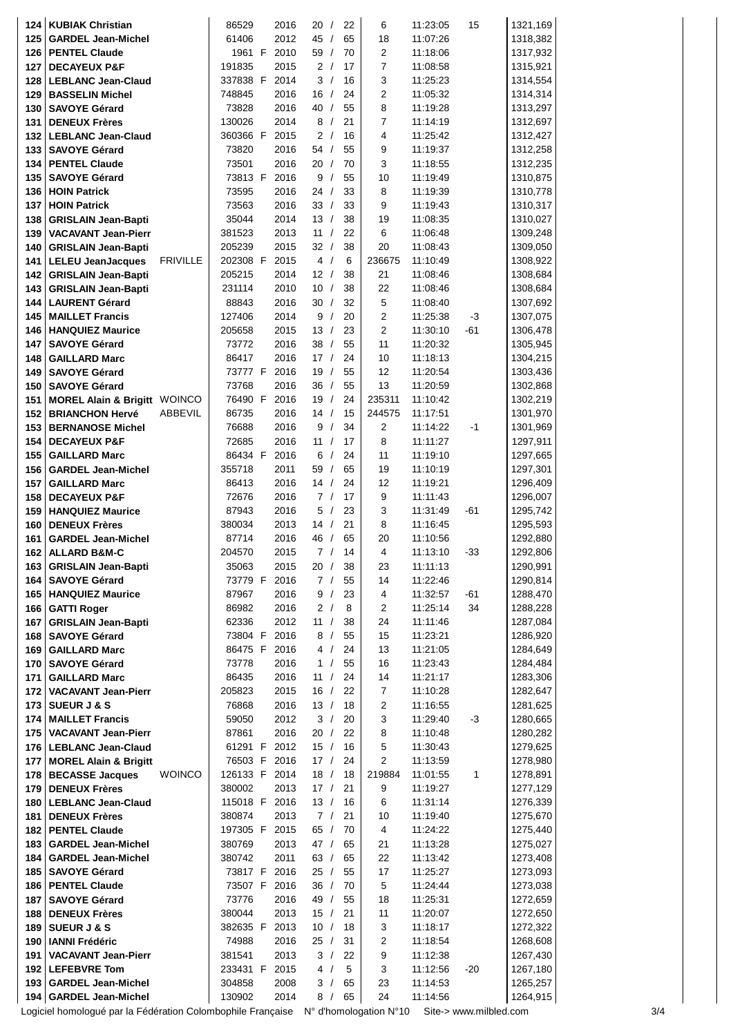| 124        | <b>KUBIAK Christian</b>                        |                 | 86529                   | 2016         | 20 /       |            | 22       | 6              | 11:23:05             | 15    | 1321,169             |
|------------|------------------------------------------------|-----------------|-------------------------|--------------|------------|------------|----------|----------------|----------------------|-------|----------------------|
| 125        | <b>GARDEL Jean-Michel</b>                      |                 | 61406                   | 2012         | 45 /       |            | 65       | 18             | 11:07:26             |       | 1318,382             |
| 126        | <b>PENTEL Claude</b>                           |                 | 1961 F                  | 2010         | 59 /       |            | 70       | 2              | 11:18:06             |       | 1317,932             |
| 127        | <b>DECAYEUX P&amp;F</b>                        |                 | 191835                  | 2015         |            | 2/         | 17       | 7              | 11:08:58             |       | 1315,921             |
| 128        | <b>LEBLANC Jean-Claud</b>                      |                 | 337838 F 2014           |              |            | 3/         | 16       | 3              | 11:25:23             |       | 1314,554             |
| 129        | <b>BASSELIN Michel</b>                         |                 | 748845                  | 2016         | 16/        |            | 24       | 2              | 11:05:32             |       | 1314,314             |
| 130        | <b>SAVOYE Gérard</b>                           |                 | 73828                   | 2016         | 40/        |            | 55       | 8              | 11:19:28             |       | 1313,297             |
| 131        | <b>DENEUX Frères</b>                           |                 | 130026                  | 2014         |            | 8/         | 21       | $\overline{7}$ | 11:14:19             |       | 1312,697             |
| 132        | <b>LEBLANC Jean-Claud</b>                      |                 | 360366 F                | 2015         |            | 2/         | 16       | 4              | 11:25:42             |       | 1312,427             |
| 133        | <b>SAVOYE Gérard</b>                           |                 | 73820                   | 2016         | 54 /       |            | 55       | 9              | 11:19:37             |       | 1312,258             |
| 134        | <b>PENTEL Claude</b>                           |                 | 73501                   | 2016         | 20/        |            | 70       | 3              | 11:18:55             |       | 1312,235             |
| 135        | <b>SAVOYE Gérard</b>                           |                 | 73813 F                 | 2016         | 9          | $\sqrt{ }$ | 55       | 10             | 11:19:49             |       | 1310,875             |
| 136        | <b>HOIN Patrick</b>                            |                 | 73595                   | 2016         | 24 /       |            | 33       | 8              | 11:19:39             |       | 1310,778             |
| 137        | <b>HOIN Patrick</b>                            |                 | 73563                   | 2016         | 33/        |            | 33       | 9              | 11:19:43             |       | 1310,317             |
| 138        | <b>GRISLAIN Jean-Bapti</b>                     |                 | 35044                   | 2014         | 13/        |            | 38       | 19             | 11:08:35             |       | 1310,027             |
| 139        | <b>VACAVANT Jean-Pierr</b>                     |                 | 381523                  | 2013         | 11 /       |            | 22       | 6              | 11:06:48             |       | 1309,248             |
| 140        | <b>GRISLAIN Jean-Bapti</b>                     |                 | 205239                  | 2015         | 32/        |            | 38       | 20             | 11:08:43             |       | 1309,050             |
| 141        | <b>LELEU JeanJacques</b>                       | <b>FRIVILLE</b> | 202308 F                | 2015         |            | 4/         | 6        | 236675         | 11:10:49             |       | 1308,922             |
| 142        | <b>GRISLAIN Jean-Bapti</b>                     |                 | 205215                  | 2014         | 12/        |            | 38       | 21             | 11:08:46             |       | 1308,684             |
| 143        | <b>GRISLAIN Jean-Bapti</b>                     |                 | 231114                  | 2010         | 10/        |            | 38       | 22             | 11:08:46             |       | 1308,684             |
| 144        | <b>LAURENT Gérard</b>                          |                 | 88843                   | 2016         | 30/        |            | 32       | 5              | 11:08:40             |       | 1307,692             |
| 145        | <b>MAILLET Francis</b>                         |                 | 127406                  | 2014         | 9          | $\sqrt{ }$ | 20       | $\overline{2}$ | 11:25:38             | $-3$  | 1307,075             |
| 146        | <b>HANQUIEZ Maurice</b>                        |                 | 205658                  | 2015         | 13/        |            | 23       | $\overline{2}$ | 11:30:10             | $-61$ | 1306,478             |
| 147        | <b>SAVOYE Gérard</b>                           |                 | 73772                   | 2016         | 38/        |            | 55       | 11             | 11:20:32             |       | 1305,945             |
| 148        | <b>GAILLARD Marc</b>                           |                 | 86417                   | 2016         | 17/        |            | 24       | 10             | 11:18:13             |       | 1304,215             |
| 149        | <b>SAVOYE Gérard</b>                           |                 | 73777 F                 | 2016         | 19         | $\sqrt{ }$ | 55       | 12             | 11:20:54             |       | 1303,436             |
| 150        | <b>SAVOYE Gérard</b>                           |                 | 73768                   | 2016         | 36/        |            | 55       | 13             | 11:20:59             |       | 1302,868             |
| 151        | <b>MOREL Alain &amp; Brigitt WOINCO</b>        |                 | 76490 F                 | 2016         | 19/        |            | 24       | 235311         | 11:10:42             |       | 1302,219             |
| 152        | <b>BRIANCHON Hervé</b>                         | ABBEVIL         | 86735                   | 2016         | 14/        |            | 15       | 244575         | 11:17:51             |       | 1301,970             |
| 153        | <b>BERNANOSE Michel</b>                        |                 | 76688                   | 2016         | 9          | $\sqrt{ }$ | 34       | $\overline{2}$ | 11:14:22             | $-1$  | 1301,969             |
| 154        | <b>DECAYEUX P&amp;F</b>                        |                 | 72685                   | 2016         | 11         | $\sqrt{ }$ | 17       | 8              | 11:11:27             |       | 1297,911             |
| 155        | <b>GAILLARD Marc</b>                           |                 | 86434 F                 | 2016         | 6/         |            | 24       | 11             | 11:19:10             |       | 1297,665             |
| 156        | <b>GARDEL Jean-Michel</b>                      |                 | 355718                  | 2011         | 59/        |            | 65       | 19             | 11:10:19             |       | 1297,301             |
| 157        | <b>GAILLARD Marc</b>                           |                 | 86413                   | 2016         | 14/        |            | 24       | 12             | 11:19:21             |       | 1296,409             |
| 158        | <b>DECAYEUX P&amp;F</b>                        |                 | 72676                   | 2016         |            | 7/         | 17       | 9              | 11:11:43             |       | 1296,007             |
| 159        | <b>HANQUIEZ Maurice</b>                        |                 | 87943                   | 2016         |            | 5/         | 23       | 3              | 11:31:49             | -61   | 1295,742             |
| 160        | <b>DENEUX Frères</b>                           |                 | 380034                  | 2013         | 14/        |            | 21       | 8              | 11:16:45             |       | 1295,593             |
| 161        | <b>GARDEL Jean-Michel</b>                      |                 | 87714                   | 2016         | 46 /       |            | 65       | 20             | 11:10:56             |       | 1292,880             |
| 162        | <b>ALLARD B&amp;M-C</b>                        |                 | 204570                  | 2015         |            | 7/         | 14       | 4              | 11:13:10             | $-33$ | 1292,806             |
| 163        | <b>GRISLAIN Jean-Bapti</b>                     |                 | 35063                   | 2015         | 20/        |            | 38       | 23             | 11:11:13             |       | 1290,991             |
| 164        | <b>SAVOYE Gérard</b>                           |                 | 73779 F                 | 2016<br>2016 |            | 7/<br>9/   | 55<br>23 | 14<br>4        | 11:22:46             | -61   | 1290,814<br>1288,470 |
| 165<br>166 | <b>HANQUIEZ Maurice</b><br><b>GATTI Roger</b>  |                 | 87967<br>86982          | 2016         |            | 2/         | 8        | 2              | 11:32:57<br>11:25:14 | 34    | 1288,228             |
| 167        | <b>GRISLAIN Jean-Bapti</b>                     |                 | 62336                   | 2012         | 11 $/$     |            | 38       | 24             | 11:11:46             |       | 1287,084             |
| 168        | <b>SAVOYE Gérard</b>                           |                 | 73804 F                 | 2016         |            | 8/         | 55       | 15             | 11:23:21             |       | 1286,920             |
| 169        | <b>GAILLARD Marc</b>                           |                 | 86475 F                 | 2016         |            | 4/         | 24       | 13             | 11:21:05             |       | 1284,649             |
| 170        | <b>SAVOYE Gérard</b>                           |                 | 73778                   | 2016         |            | 1 /        | 55       | 16             | 11:23:43             |       | 1284,484             |
| 171        | <b>GAILLARD Marc</b>                           |                 | 86435                   | 2016         | 11 /       |            | 24       | 14             | 11:21:17             |       | 1283,306             |
| 172        | <b>VACAVANT Jean-Pierr</b>                     |                 | 205823                  | 2015         | 16/        |            | 22       | $\overline{7}$ | 11:10:28             |       | 1282,647             |
| 173        | <b>SUEUR J &amp; S</b>                         |                 | 76868                   | 2016         | 13/        |            | 18       | 2              | 11:16:55             |       | 1281,625             |
| 174        | <b>MAILLET Francis</b>                         |                 | 59050                   | 2012         |            | 3/         | 20       | 3              | 11:29:40             | $-3$  | 1280,665             |
| 175        | <b>VACAVANT Jean-Pierr</b>                     |                 | 87861                   | 2016         | 20/        |            | 22       | 8              | 11:10:48             |       | 1280,282             |
| 176        | <b>LEBLANC Jean-Claud</b>                      |                 | 61291 F 2012            |              | 15/        |            | 16       | 5              | 11:30:43             |       | 1279,625             |
| 177        | <b>MOREL Alain &amp; Brigitt</b>               |                 | 76503 F 2016            |              | 17/        |            | 24       | 2              | 11:13:59             |       | 1278,980             |
| 178        | <b>BECASSE Jacques</b>                         | <b>WOINCO</b>   | 126133 F 2014           |              | 18/        |            | 18       | 219884         | 11:01:55             | 1     | 1278,891             |
| 179        | <b>DENEUX Frères</b>                           |                 | 380002                  | 2013         | 17/        |            | 21       | 9              | 11:19:27             |       | 1277,129             |
| 180        | <b>LEBLANC Jean-Claud</b>                      |                 | 115018 F 2016           |              | 13/        |            | 16       | 6              | 11:31:14             |       | 1276,339             |
| 181        | <b>DENEUX Frères</b>                           |                 | 380874                  | 2013         |            | 7/         | 21       | 10             | 11:19:40             |       | 1275,670             |
| 182        | <b>PENTEL Claude</b>                           |                 | 197305 F 2015           |              | 65/        |            | 70       | 4              | 11:24:22             |       | 1275,440             |
| 183        | <b>GARDEL Jean-Michel</b>                      |                 | 380769                  | 2013         | 47 /       |            | 65       | 21             | 11:13:28             |       | 1275,027             |
| 184        | <b>GARDEL Jean-Michel</b>                      |                 | 380742                  | 2011         | 63/        |            | 65       | 22             | 11:13:42             |       | 1273,408             |
| 185        | <b>SAVOYE Gérard</b>                           |                 | 73817 F 2016            |              | 25/        |            | 55       | 17             | 11:25:27             |       | 1273,093             |
| 186        | <b>PENTEL Claude</b>                           |                 | 73507 F 2016            |              | 36/        |            | 70       | 5              | 11:24:44             |       | 1273,038             |
| 187        | <b>SAVOYE Gérard</b>                           |                 | 73776                   | 2016         | 49 /       |            | 55       | 18             | 11:25:31             |       | 1272,659             |
| 188        | <b>DENEUX Frères</b><br><b>SUEUR J &amp; S</b> |                 | 380044<br>382635 F 2013 | 2013         | 15/<br>10/ |            | 21<br>18 | 11<br>3        | 11:20:07             |       | 1272,650<br>1272,322 |
| 189<br>190 | <b>IANNI Frédéric</b>                          |                 | 74988                   | 2016         | 25/        |            | 31       | 2              | 11:18:17<br>11:18:54 |       | 1268,608             |
| 191        | <b>VACAVANT Jean-Pierr</b>                     |                 | 381541                  | 2013         |            | 3/         | 22       | 9              | 11:12:38             |       | 1267,430             |
| 192        | <b>LEFEBVRE Tom</b>                            |                 | 233431 F 2015           |              |            | 4/         | 5        | 3              | 11:12:56             | -20   | 1267,180             |
| 193        | <b>GARDEL Jean-Michel</b>                      |                 | 304858                  | 2008         |            | 3/         | 65       | 23             | 11:14:53             |       | 1265,257             |
|            | 194 GARDEL Jean-Michel                         |                 | 130902                  | 2014         |            | 8/         | 65       | 24             | 11:14:56             |       | 1264,915             |
|            |                                                |                 |                         |              |            |            |          |                |                      |       |                      |

Logiciel homologué par la Fédération Colombophile Française N° d'homologation N°10 Site-> www.milbled.com 3/4